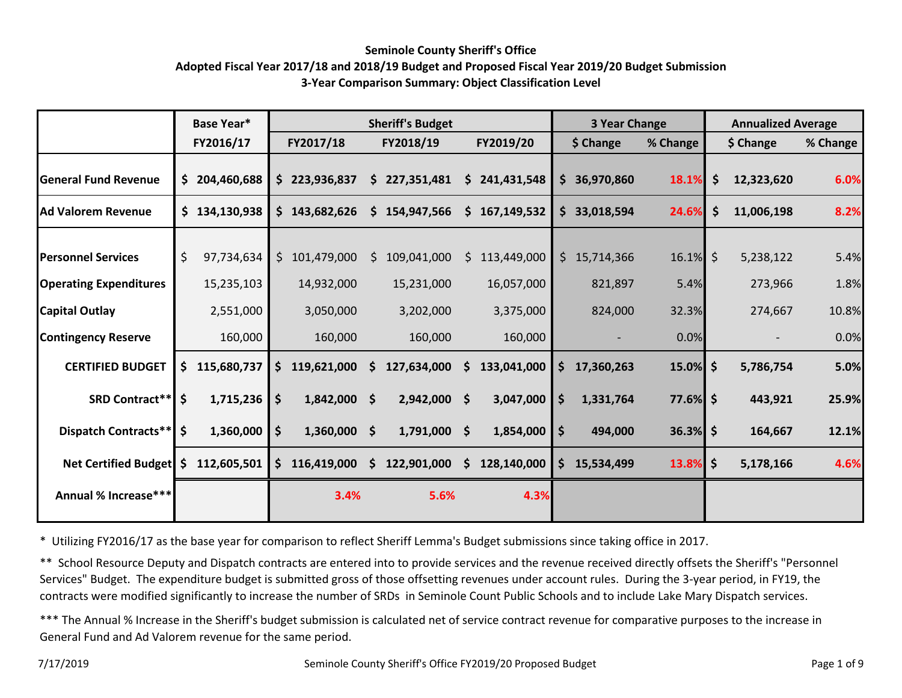#### **Seminole County Sheriff's Office**

### **Adopted Fiscal Year 2017/18 and 2018/19 Budget and Proposed Fiscal Year 2019/20 Budget Submission 3-Year Comparison Summary: Object Classification Level**

|                               | <b>Base Year*</b> |               |     | <b>Sheriff's Budget</b> |   |                |     |             |                    | <b>3 Year Change</b> |             | <b>Annualized Average</b> |                          |          |  |
|-------------------------------|-------------------|---------------|-----|-------------------------|---|----------------|-----|-------------|--------------------|----------------------|-------------|---------------------------|--------------------------|----------|--|
|                               |                   | FY2016/17     |     | FY2017/18               |   | FY2018/19      |     | FY2019/20   |                    | \$ Change            | % Change    |                           | \$ Change                | % Change |  |
| <b>General Fund Revenue</b>   |                   | \$204,460,688 |     | \$223,936,837           |   | \$227,351,481  | \$  | 241,431,548 |                    | \$36,970,860         | 18.1%       | \$                        | 12,323,620               | 6.0%     |  |
| <b>Ad Valorem Revenue</b>     |                   | \$134,130,938 |     | \$143,682,626           |   | \$154,947,566  | \$. | 167,149,532 |                    | \$33,018,594         | 24.6%       | \$                        | 11,006,198               | 8.2%     |  |
| <b>Personnel Services</b>     | \$                | 97,734,634    |     | \$101,479,000           | S | 109,041,000    | S.  | 113,449,000 |                    | \$15,714,366         | $16.1\%$ \$ |                           | 5,238,122                | 5.4%     |  |
| <b>Operating Expenditures</b> |                   | 15,235,103    |     | 14,932,000              |   | 15,231,000     |     | 16,057,000  |                    | 821,897              | 5.4%        |                           | 273,966                  | 1.8%     |  |
| <b>Capital Outlay</b>         |                   | 2,551,000     |     | 3,050,000               |   | 3,202,000      |     | 3,375,000   |                    | 824,000              | 32.3%       |                           | 274,667                  | 10.8%    |  |
| <b>Contingency Reserve</b>    |                   | 160,000       |     | 160,000                 |   | 160,000        |     | 160,000     |                    |                      | 0.0%        |                           | $\overline{\phantom{a}}$ | 0.0%     |  |
| <b>CERTIFIED BUDGET</b>       | Ş.                | 115,680,737   | \$. | 119,621,000             | S | 127,634,000    | S.  | 133,041,000 | \$                 | 17,360,263           | $15.0\%$ \$ |                           | 5,786,754                | 5.0%     |  |
| <b>SRD Contract**</b>         | \$                | 1,715,236     | \$  | $1,842,000$ \$          |   | 2,942,000 \$   |     | 3,047,000   | $\dot{\mathsf{s}}$ | 1,331,764            | $77.6\%$ \$ |                           | 443,921                  | 25.9%    |  |
| Dispatch Contracts**          | \$                | 1,360,000     | \$  | $1,360,000$ \$          |   | $1,791,000$ \$ |     | 1,854,000   | \$                 | 494,000              | $36.3\%$ \$ |                           | 164,667                  | 12.1%    |  |
| <b>Net Certified Budget</b>   | S.                | 112,605,501   |     | \$116,419,000           |   | \$122,901,000  | \$  | 128,140,000 | \$                 | 15,534,499           | 13.8%       | \$                        | 5,178,166                | 4.6%     |  |
| Annual % Increase***          |                   |               |     | 3.4%                    |   | 5.6%           |     | 4.3%        |                    |                      |             |                           |                          |          |  |
|                               |                   |               |     |                         |   |                |     |             |                    |                      |             |                           |                          |          |  |

\* Utilizing FY2016/17 as the base year for comparison to reflect Sheriff Lemma's Budget submissions since taking office in 2017.

\*\* School Resource Deputy and Dispatch contracts are entered into to provide services and the revenue received directly offsets the Sheriff's "Personnel Services" Budget. The expenditure budget is submitted gross of those offsetting revenues under account rules. During the 3-year period, in FY19, the contracts were modified significantly to increase the number of SRDs in Seminole Count Public Schools and to include Lake Mary Dispatch services.

\*\*\* The Annual % Increase in the Sheriff's budget submission is calculated net of service contract revenue for comparative purposes to the increase in General Fund and Ad Valorem revenue for the same period.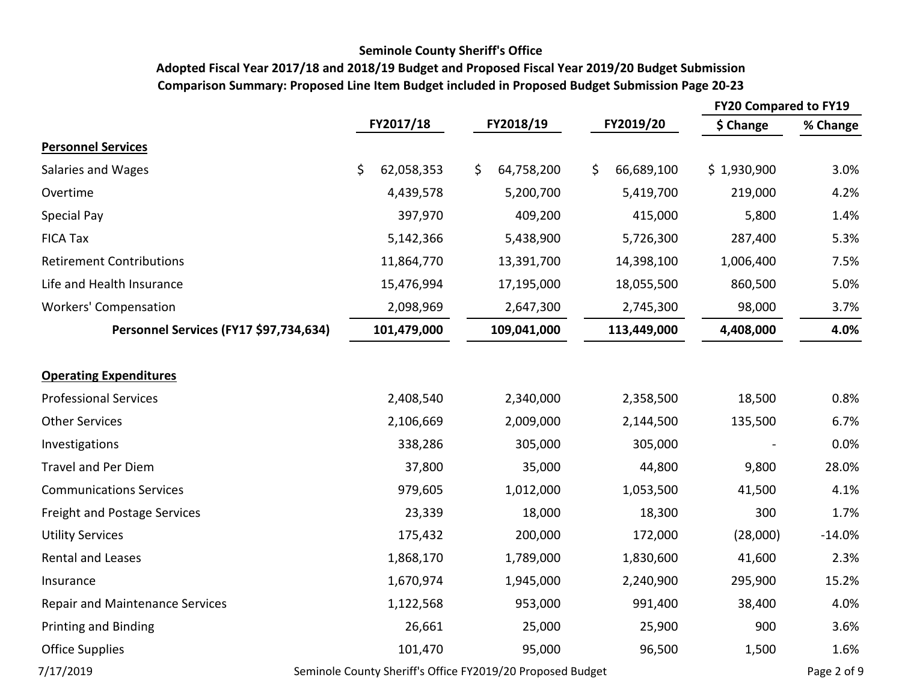### **Seminole County Sheriff's Office**

# **Adopted Fiscal Year 2017/18 and 2018/19 Budget and Proposed Fiscal Year 2019/20 Budget Submission Comparison Summary: Proposed Line Item Budget included in Proposed Budget Submission Page 20-23**

|                                        |                                                            |                  |                  | <b>FY20 Compared to FY19</b> |             |  |
|----------------------------------------|------------------------------------------------------------|------------------|------------------|------------------------------|-------------|--|
|                                        | FY2017/18                                                  | FY2018/19        | FY2019/20        | \$ Change                    | % Change    |  |
| <b>Personnel Services</b>              |                                                            |                  |                  |                              |             |  |
| Salaries and Wages                     | \$<br>62,058,353                                           | 64,758,200<br>\$ | \$<br>66,689,100 | \$1,930,900                  | 3.0%        |  |
| Overtime                               | 4,439,578                                                  | 5,200,700        | 5,419,700        | 219,000                      | 4.2%        |  |
| Special Pay                            | 397,970                                                    | 409,200          | 415,000          | 5,800                        | 1.4%        |  |
| <b>FICA Tax</b>                        | 5,142,366                                                  | 5,438,900        | 5,726,300        | 287,400                      | 5.3%        |  |
| <b>Retirement Contributions</b>        | 11,864,770                                                 | 13,391,700       | 14,398,100       | 1,006,400                    | 7.5%        |  |
| Life and Health Insurance              | 15,476,994                                                 | 17,195,000       | 18,055,500       | 860,500                      | 5.0%        |  |
| <b>Workers' Compensation</b>           | 2,098,969                                                  | 2,647,300        | 2,745,300        | 98,000                       | 3.7%        |  |
| Personnel Services (FY17 \$97,734,634) | 101,479,000                                                | 109,041,000      | 113,449,000      | 4,408,000                    | 4.0%        |  |
|                                        |                                                            |                  |                  |                              |             |  |
| <b>Operating Expenditures</b>          |                                                            |                  |                  |                              |             |  |
| <b>Professional Services</b>           | 2,408,540                                                  | 2,340,000        | 2,358,500        | 18,500                       | 0.8%        |  |
| <b>Other Services</b>                  | 2,106,669                                                  | 2,009,000        | 2,144,500        | 135,500                      | 6.7%        |  |
| Investigations                         | 338,286                                                    | 305,000          | 305,000          |                              | 0.0%        |  |
| <b>Travel and Per Diem</b>             | 37,800                                                     | 35,000           | 44,800           | 9,800                        | 28.0%       |  |
| <b>Communications Services</b>         | 979,605                                                    | 1,012,000        | 1,053,500        | 41,500                       | 4.1%        |  |
| Freight and Postage Services           | 23,339                                                     | 18,000           | 18,300           | 300                          | 1.7%        |  |
| <b>Utility Services</b>                | 175,432                                                    | 200,000          | 172,000          | (28,000)                     | $-14.0%$    |  |
| <b>Rental and Leases</b>               | 1,868,170                                                  | 1,789,000        | 1,830,600        | 41,600                       | 2.3%        |  |
| Insurance                              | 1,670,974                                                  | 1,945,000        | 2,240,900        | 295,900                      | 15.2%       |  |
| <b>Repair and Maintenance Services</b> | 1,122,568                                                  | 953,000          | 991,400          | 38,400                       | 4.0%        |  |
| <b>Printing and Binding</b>            | 26,661                                                     | 25,000           | 25,900           | 900                          | 3.6%        |  |
| <b>Office Supplies</b>                 | 101,470                                                    | 95,000           | 96,500           | 1,500                        | 1.6%        |  |
| 7/17/2019                              | Seminole County Sheriff's Office FY2019/20 Proposed Budget |                  |                  |                              | Page 2 of 9 |  |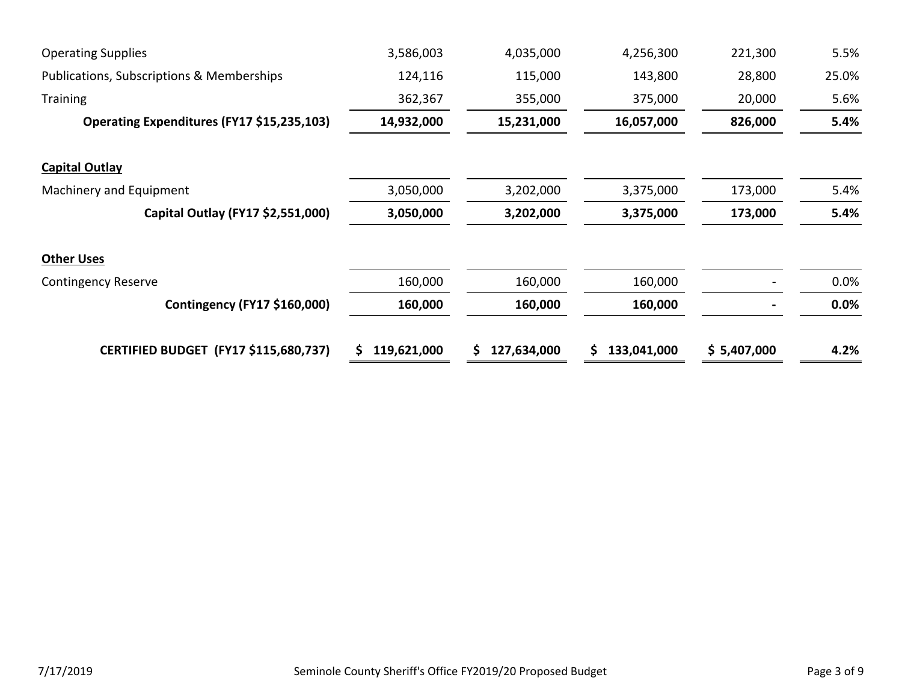| <b>Operating Supplies</b>                    | 3,586,003   | 4,035,000   | 4,256,300   | 221,300     | 5.5%  |
|----------------------------------------------|-------------|-------------|-------------|-------------|-------|
| Publications, Subscriptions & Memberships    | 124,116     | 115,000     | 143,800     | 28,800      | 25.0% |
| <b>Training</b>                              | 362,367     | 355,000     | 375,000     | 20,000      | 5.6%  |
| Operating Expenditures (FY17 \$15,235,103)   | 14,932,000  | 15,231,000  | 16,057,000  | 826,000     | 5.4%  |
| <b>Capital Outlay</b>                        |             |             |             |             |       |
| Machinery and Equipment                      | 3,050,000   | 3,202,000   | 3,375,000   | 173,000     | 5.4%  |
| Capital Outlay (FY17 \$2,551,000)            | 3,050,000   | 3,202,000   | 3,375,000   | 173,000     | 5.4%  |
| <b>Other Uses</b>                            |             |             |             |             |       |
| <b>Contingency Reserve</b>                   | 160,000     | 160,000     | 160,000     |             | 0.0%  |
| Contingency (FY17 \$160,000)                 | 160,000     | 160,000     | 160,000     |             | 0.0%  |
| <b>CERTIFIED BUDGET (FY17 \$115,680,737)</b> | 119,621,000 | 127,634,000 | 133,041,000 | \$5,407,000 | 4.2%  |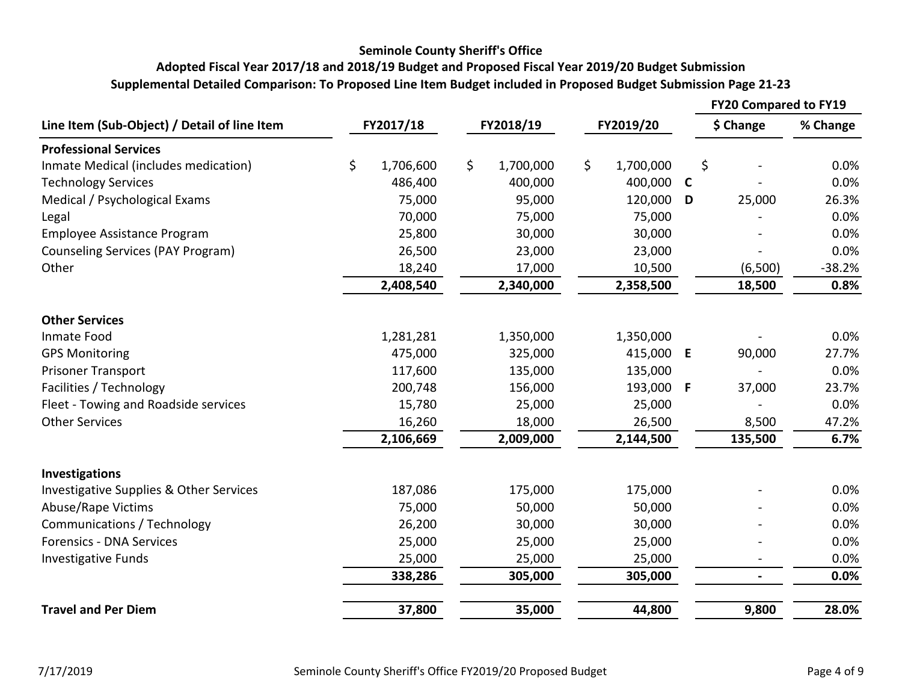### **Seminole County Sheriff's Office**

# **Supplemental Detailed Comparison: To Proposed Line Item Budget included in Proposed Budget Submission Page 21-23 Adopted Fiscal Year 2017/18 and 2018/19 Budget and Proposed Fiscal Year 2019/20 Budget Submission**

|                                              |           |           |           |           |           |           |             | <b>FY20 Compared to FY19</b> |          |
|----------------------------------------------|-----------|-----------|-----------|-----------|-----------|-----------|-------------|------------------------------|----------|
| Line Item (Sub-Object) / Detail of line Item | FY2017/18 |           | FY2018/19 |           | FY2019/20 |           |             | \$ Change                    | % Change |
| <b>Professional Services</b>                 |           |           |           |           |           |           |             |                              |          |
| Inmate Medical (includes medication)         | \$        | 1,706,600 | \$        | 1,700,000 | \$        | 1,700,000 |             | \$                           | 0.0%     |
| <b>Technology Services</b>                   |           | 486,400   |           | 400,000   |           | 400,000   | $\mathbf c$ |                              | 0.0%     |
| Medical / Psychological Exams                |           | 75,000    |           | 95,000    |           | 120,000   | D           | 25,000                       | 26.3%    |
| Legal                                        |           | 70,000    |           | 75,000    |           | 75,000    |             |                              | 0.0%     |
| Employee Assistance Program                  |           | 25,800    |           | 30,000    |           | 30,000    |             |                              | 0.0%     |
| Counseling Services (PAY Program)            |           | 26,500    |           | 23,000    |           | 23,000    |             |                              | 0.0%     |
| Other                                        |           | 18,240    |           | 17,000    | 10,500    |           |             | (6,500)                      | $-38.2%$ |
|                                              |           | 2,408,540 |           | 2,340,000 |           | 2,358,500 |             | 18,500                       | 0.8%     |
| <b>Other Services</b>                        |           |           |           |           |           |           |             |                              |          |
| Inmate Food                                  |           | 1,281,281 |           | 1,350,000 |           | 1,350,000 |             |                              | 0.0%     |
| <b>GPS Monitoring</b>                        |           | 475,000   |           | 325,000   |           | 415,000   | E           | 90,000                       | 27.7%    |
| <b>Prisoner Transport</b>                    |           | 117,600   |           | 135,000   |           | 135,000   |             |                              | 0.0%     |
| Facilities / Technology                      |           | 200,748   |           | 156,000   |           | 193,000 F |             | 37,000                       | 23.7%    |
| Fleet - Towing and Roadside services         |           | 15,780    |           | 25,000    |           | 25,000    |             |                              | 0.0%     |
| <b>Other Services</b>                        |           | 16,260    |           | 18,000    |           | 26,500    |             | 8,500                        | 47.2%    |
|                                              |           | 2,106,669 |           | 2,009,000 |           | 2,144,500 |             | 135,500                      | 6.7%     |
| <b>Investigations</b>                        |           |           |           |           |           |           |             |                              |          |
| Investigative Supplies & Other Services      |           | 187,086   |           | 175,000   |           | 175,000   |             |                              | 0.0%     |
| Abuse/Rape Victims                           |           | 75,000    |           | 50,000    |           | 50,000    |             |                              | 0.0%     |
| Communications / Technology                  |           | 26,200    |           | 30,000    |           | 30,000    |             |                              | 0.0%     |
| <b>Forensics - DNA Services</b>              |           | 25,000    |           | 25,000    |           | 25,000    |             |                              | 0.0%     |
| <b>Investigative Funds</b>                   |           | 25,000    |           | 25,000    |           | 25,000    |             |                              | 0.0%     |
|                                              |           | 338,286   |           | 305,000   |           | 305,000   |             | $\blacksquare$               | 0.0%     |
| <b>Travel and Per Diem</b>                   |           | 37,800    |           | 35,000    |           | 44,800    |             | 9,800                        | 28.0%    |
|                                              |           |           |           |           |           |           |             |                              |          |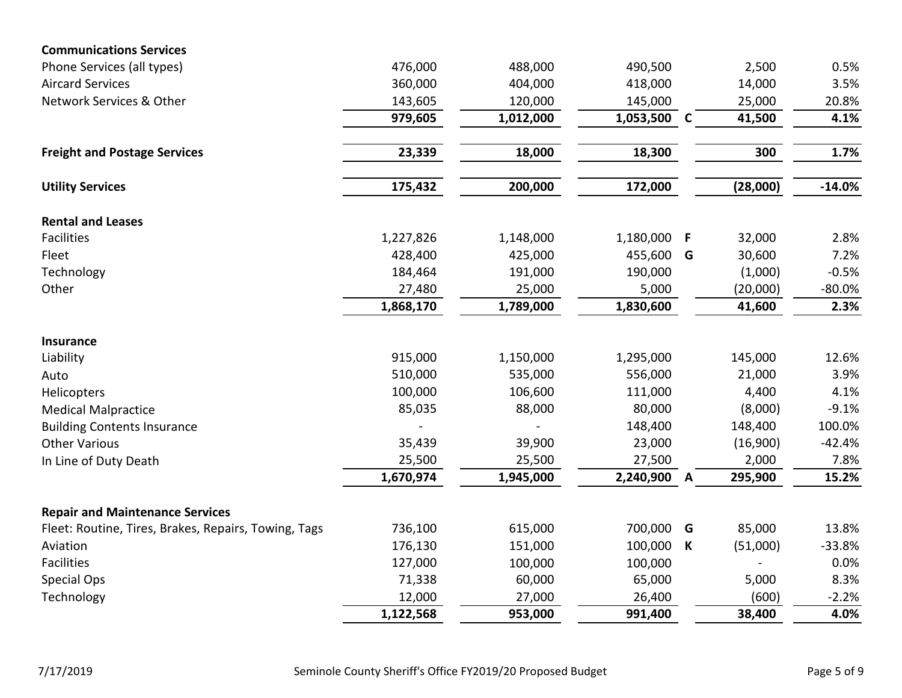| <b>Communications Services</b>                       |           |           |           |              |          |          |
|------------------------------------------------------|-----------|-----------|-----------|--------------|----------|----------|
| Phone Services (all types)                           | 476,000   | 488,000   | 490,500   |              | 2,500    | 0.5%     |
| <b>Aircard Services</b>                              | 360,000   | 404,000   | 418,000   |              | 14,000   | 3.5%     |
| Network Services & Other                             | 143,605   | 120,000   | 145,000   |              | 25,000   | 20.8%    |
|                                                      | 979,605   | 1,012,000 | 1,053,500 | <b>C</b>     | 41,500   | 4.1%     |
| <b>Freight and Postage Services</b>                  | 23,339    | 18,000    | 18,300    |              | 300      | 1.7%     |
| <b>Utility Services</b>                              | 175,432   | 200,000   | 172,000   |              | (28,000) | $-14.0%$ |
| <b>Rental and Leases</b>                             |           |           |           |              |          |          |
| <b>Facilities</b>                                    | 1,227,826 | 1,148,000 | 1,180,000 | - F          | 32,000   | 2.8%     |
| Fleet                                                | 428,400   | 425,000   | 455,600 G |              | 30,600   | 7.2%     |
| Technology                                           | 184,464   | 191,000   | 190,000   |              | (1,000)  | $-0.5%$  |
| Other                                                | 27,480    | 25,000    | 5,000     |              | (20,000) | $-80.0%$ |
|                                                      | 1,868,170 | 1,789,000 | 1,830,600 |              | 41,600   | 2.3%     |
| <b>Insurance</b>                                     |           |           |           |              |          |          |
| Liability                                            | 915,000   | 1,150,000 | 1,295,000 |              | 145,000  | 12.6%    |
| Auto                                                 | 510,000   | 535,000   | 556,000   |              | 21,000   | 3.9%     |
| Helicopters                                          | 100,000   | 106,600   | 111,000   |              | 4,400    | 4.1%     |
| <b>Medical Malpractice</b>                           | 85,035    | 88,000    | 80,000    |              | (8,000)  | $-9.1%$  |
| <b>Building Contents Insurance</b>                   |           |           | 148,400   |              | 148,400  | 100.0%   |
| <b>Other Various</b>                                 | 35,439    | 39,900    | 23,000    |              | (16,900) | $-42.4%$ |
| In Line of Duty Death                                | 25,500    | 25,500    | 27,500    |              | 2,000    | 7.8%     |
|                                                      | 1,670,974 | 1,945,000 | 2,240,900 | $\mathbf{A}$ | 295,900  | 15.2%    |
| <b>Repair and Maintenance Services</b>               |           |           |           |              |          |          |
| Fleet: Routine, Tires, Brakes, Repairs, Towing, Tags | 736,100   | 615,000   | 700,000   | G            | 85,000   | 13.8%    |
| Aviation                                             | 176,130   | 151,000   | 100,000   | K            | (51,000) | $-33.8%$ |
| Facilities                                           | 127,000   | 100,000   | 100,000   |              |          | 0.0%     |
| Special Ops                                          | 71,338    | 60,000    | 65,000    |              | 5,000    | 8.3%     |
| Technology                                           | 12,000    | 27,000    | 26,400    |              | (600)    | $-2.2%$  |
|                                                      | 1,122,568 | 953,000   | 991,400   |              | 38,400   | 4.0%     |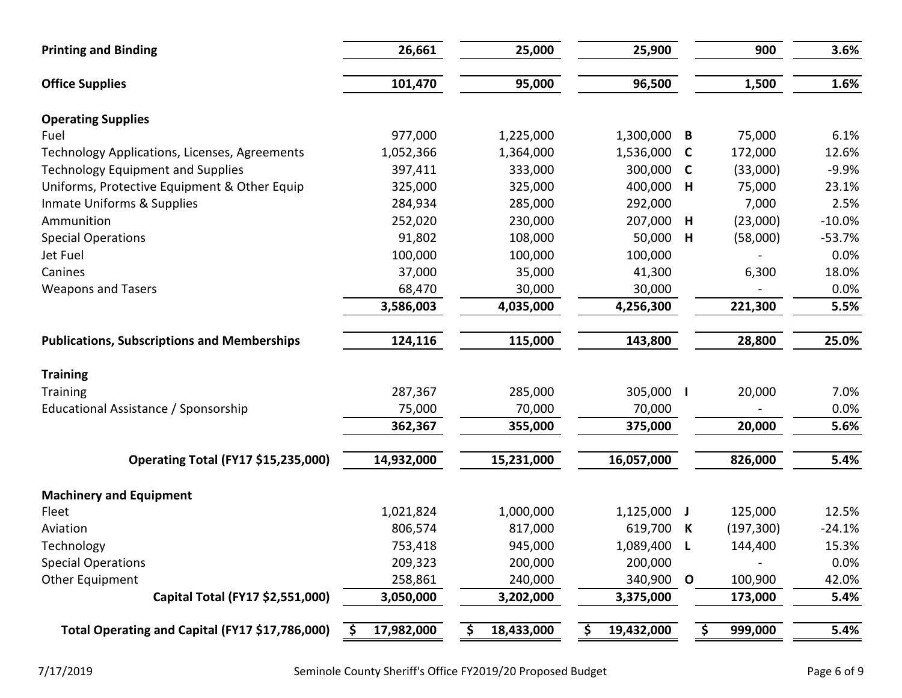| 26,661             | 25,000                                     | 25,900                          |              | 900                                                    | 3.6%                                   |
|--------------------|--------------------------------------------|---------------------------------|--------------|--------------------------------------------------------|----------------------------------------|
| 101,470            | 95,000                                     | 96,500                          |              | 1,500                                                  | 1.6%                                   |
|                    |                                            |                                 |              |                                                        |                                        |
| 977,000            | 1,225,000                                  | 1,300,000                       | B            | 75,000                                                 | 6.1%                                   |
| 1,052,366          | 1,364,000                                  | 1,536,000                       | $\mathbf c$  | 172,000                                                | 12.6%                                  |
| 397,411            | 333,000                                    | 300,000                         | C            | (33,000)                                               | $-9.9%$                                |
| 325,000            | 325,000                                    | 400,000                         | H            | 75,000                                                 | 23.1%                                  |
| 284,934            | 285,000                                    | 292,000                         |              | 7,000                                                  | 2.5%                                   |
| 252,020            | 230,000                                    | 207,000                         | Н            | (23,000)                                               | $-10.0%$                               |
| 91,802             | 108,000                                    | 50,000                          | H            | (58,000)                                               | $-53.7%$                               |
| 100,000            | 100,000                                    | 100,000                         |              |                                                        | 0.0%                                   |
| 37,000             | 35,000                                     | 41,300                          |              | 6,300                                                  | 18.0%                                  |
| 68,470             | 30,000                                     | 30,000                          |              |                                                        | 0.0%                                   |
| 3,586,003          | 4,035,000                                  | 4,256,300                       |              | 221,300                                                | 5.5%                                   |
| 124,116            | 115,000                                    | 143,800                         |              | 28,800                                                 | 25.0%                                  |
|                    |                                            |                                 |              |                                                        |                                        |
| 287,367            | 285,000                                    |                                 |              | 20,000                                                 | 7.0%                                   |
| 75,000             | 70,000                                     | 70,000                          |              |                                                        | 0.0%                                   |
| 362,367            | 355,000                                    | 375,000                         |              | 20,000                                                 | 5.6%                                   |
| 14,932,000         | 15,231,000                                 | 16,057,000                      |              | 826,000                                                | 5.4%                                   |
|                    |                                            |                                 |              |                                                        |                                        |
|                    |                                            |                                 |              |                                                        | 12.5%                                  |
|                    |                                            |                                 |              |                                                        | $-24.1%$                               |
|                    |                                            |                                 |              |                                                        | 15.3%                                  |
|                    | 200,000                                    |                                 |              |                                                        | 0.0%                                   |
| 258,861            | 240,000                                    | 340,900                         | $\mathbf{o}$ | 100,900                                                | 42.0%                                  |
| 3,050,000          | 3,202,000                                  | 3,375,000                       |              | 173,000                                                | 5.4%                                   |
| 17,982,000<br>- \$ | 18,433,000<br>\$                           | 19,432,000<br>\$                |              | 999,000                                                | 5.4%                                   |
|                    | 1,021,824<br>806,574<br>753,418<br>209,323 | 1,000,000<br>817,000<br>945,000 | 200,000      | 305,000  <br>$1,125,000$ J<br>619,700 K<br>1,089,400 L | 125,000<br>(197, 300)<br>144,400<br>\$ |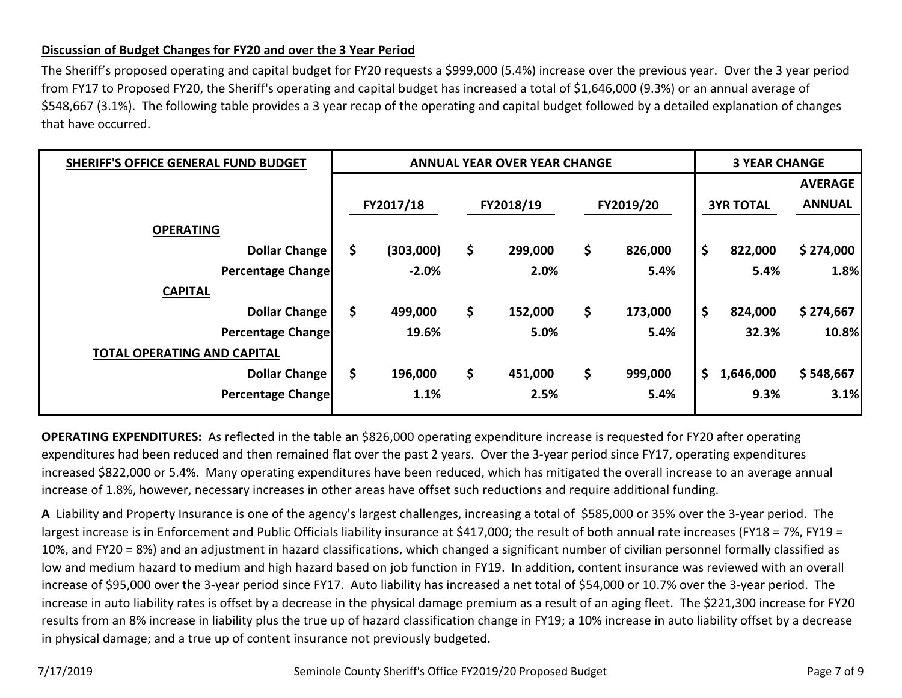### **Discussion of Budget Changes for FY20 and over the 3 Year Period**

The Sheriff's proposed operating and capital budget for FY20 requests a \$999,000 (5.4%) increase over the previous year. Over the 3 year period from FY17 to Proposed FY20, the Sheriff's operating and capital budget has increased a total of \$1,646,000 (9.3%) or an annual average of \$548,667 (3.1%). The following table provides a 3 year recap of the operating and capital budget followed by a detailed explanation of changes that have occurred.

| SHERIFF'S OFFICE GENERAL FUND BUDGET |    | <b>ANNUAL YEAR OVER YEAR CHANGE</b> | <b>3 YEAR CHANGE</b> |         |    |           |    |           |                |                  |               |
|--------------------------------------|----|-------------------------------------|----------------------|---------|----|-----------|----|-----------|----------------|------------------|---------------|
|                                      |    |                                     |                      |         |    |           |    |           | <b>AVERAGE</b> |                  |               |
|                                      |    | FY2017/18                           |                      |         |    | FY2018/19 |    | FY2019/20 |                | <b>3YR TOTAL</b> | <b>ANNUAL</b> |
| <b>OPERATING</b>                     |    |                                     |                      |         |    |           |    |           |                |                  |               |
| <b>Dollar Change</b>                 | \$ | (303,000)                           | \$                   | 299,000 | \$ | 826,000   | \$ | 822,000   | \$274,000      |                  |               |
| <b>Percentage Change</b>             |    | $-2.0%$                             |                      | 2.0%    |    | 5.4%      |    | 5.4%      | 1.8%           |                  |               |
| <b>CAPITAL</b>                       |    |                                     |                      |         |    |           |    |           |                |                  |               |
| <b>Dollar Change</b>                 | \$ | 499,000                             | \$                   | 152,000 | \$ | 173,000   | \$ | 824,000   | \$274,667      |                  |               |
| <b>Percentage Change</b>             |    | 19.6%                               |                      | 5.0%    |    | 5.4%      |    | 32.3%     | 10.8%          |                  |               |
| <b>TOTAL OPERATING AND CAPITAL</b>   |    |                                     |                      |         |    |           |    |           |                |                  |               |
| Dollar Change                        | \$ | 196,000                             | \$                   | 451,000 | \$ | 999,000   | \$ | 1,646,000 | \$548,667      |                  |               |
| <b>Percentage Change</b>             |    | 1.1%                                |                      | 2.5%    |    | 5.4%      |    | 9.3%      | 3.1%           |                  |               |

**OPERATING EXPENDITURES:** As reflected in the table an \$826,000 operating expenditure increase is requested for FY20 after operating expenditures had been reduced and then remained flat over the past 2 years. Over the 3-year period since FY17, operating expenditures increased \$822,000 or 5.4%. Many operating expenditures have been reduced, which has mitigated the overall increase to an average annual increase of 1.8%, however, necessary increases in other areas have offset such reductions and require additional funding.

**A** Liability and Property Insurance is one of the agency's largest challenges, increasing a total of \$585,000 or 35% over the 3-year period. The largest increase is in Enforcement and Public Officials liability insurance at \$417,000; the result of both annual rate increases (FY18 = 7%, FY19 = 10%, and FY20 = 8%) and an adjustment in hazard classifications, which changed a significant number of civilian personnel formally classified as low and medium hazard to medium and high hazard based on job function in FY19. In addition, content insurance was reviewed with an overall increase of \$95,000 over the 3-year period since FY17. Auto liability has increased a net total of \$54,000 or 10.7% over the 3-year period. The increase in auto liability rates is offset by a decrease in the physical damage premium as a result of an aging fleet. The \$221,300 increase for FY20 results from an 8% increase in liability plus the true up of hazard classification change in FY19; a 10% increase in auto liability offset by a decrease in physical damage; and a true up of content insurance not previously budgeted.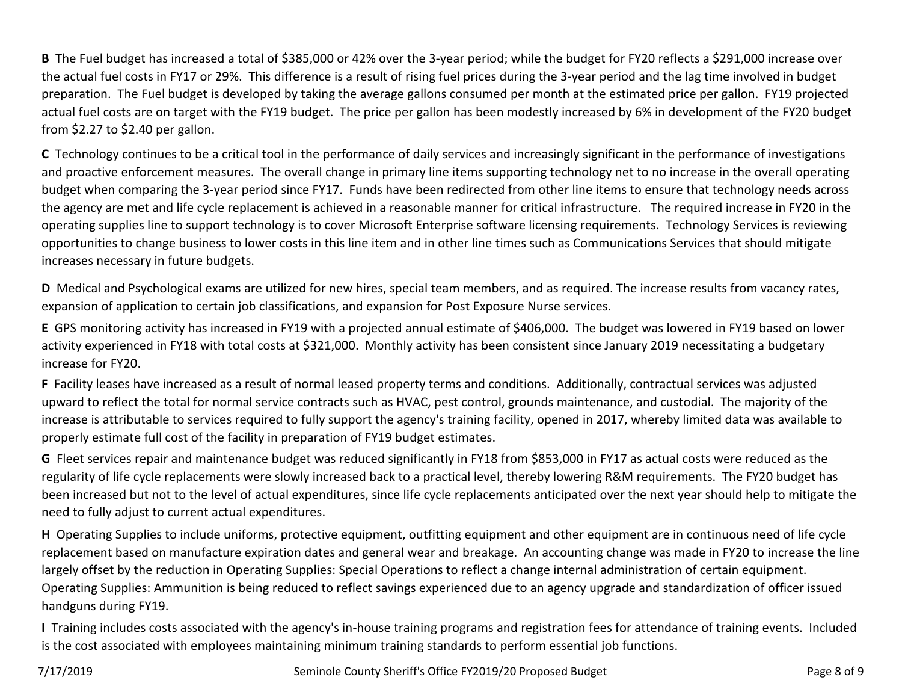**B** The Fuel budget has increased a total of \$385,000 or 42% over the 3-year period; while the budget for FY20 reflects a \$291,000 increase over the actual fuel costs in FY17 or 29%. This difference is a result of rising fuel prices during the 3-year period and the lag time involved in budget preparation. The Fuel budget is developed by taking the average gallons consumed per month at the estimated price per gallon. FY19 projected actual fuel costs are on target with the FY19 budget. The price per gallon has been modestly increased by 6% in development of the FY20 budget from \$2.27 to \$2.40 per gallon.

**C** Technology continues to be a critical tool in the performance of daily services and increasingly significant in the performance of investigations and proactive enforcement measures. The overall change in primary line items supporting technology net to no increase in the overall operating budget when comparing the 3-year period since FY17. Funds have been redirected from other line items to ensure that technology needs across the agency are met and life cycle replacement is achieved in a reasonable manner for critical infrastructure. The required increase in FY20 in the operating supplies line to support technology is to cover Microsoft Enterprise software licensing requirements. Technology Services is reviewing opportunities to change business to lower costs in this line item and in other line times such as Communications Services that should mitigate increases necessary in future budgets.

**D** Medical and Psychological exams are utilized for new hires, special team members, and as required. The increase results from vacancy rates, expansion of application to certain job classifications, and expansion for Post Exposure Nurse services.

**E** GPS monitoring activity has increased in FY19 with a projected annual estimate of \$406,000. The budget was lowered in FY19 based on lower activity experienced in FY18 with total costs at \$321,000. Monthly activity has been consistent since January 2019 necessitating a budgetary increase for FY20.

**F** Facility leases have increased as a result of normal leased property terms and conditions. Additionally, contractual services was adjusted upward to reflect the total for normal service contracts such as HVAC, pest control, grounds maintenance, and custodial. The majority of the increase is attributable to services required to fully support the agency's training facility, opened in 2017, whereby limited data was available to properly estimate full cost of the facility in preparation of FY19 budget estimates.

**G** Fleet services repair and maintenance budget was reduced significantly in FY18 from \$853,000 in FY17 as actual costs were reduced as the regularity of life cycle replacements were slowly increased back to a practical level, thereby lowering R&M requirements. The FY20 budget has been increased but not to the level of actual expenditures, since life cycle replacements anticipated over the next year should help to mitigate the need to fully adjust to current actual expenditures.

**H** Operating Supplies to include uniforms, protective equipment, outfitting equipment and other equipment are in continuous need of life cycle replacement based on manufacture expiration dates and general wear and breakage. An accounting change was made in FY20 to increase the line largely offset by the reduction in Operating Supplies: Special Operations to reflect a change internal administration of certain equipment. Operating Supplies: Ammunition is being reduced to reflect savings experienced due to an agency upgrade and standardization of officer issued handguns during FY19.

**I** Training includes costs associated with the agency's in-house training programs and registration fees for attendance of training events. Included is the cost associated with employees maintaining minimum training standards to perform essential job functions.

7/17/2019 Seminole County Sheriff's Office FY2019/20 Proposed Budget Page 8 of 9